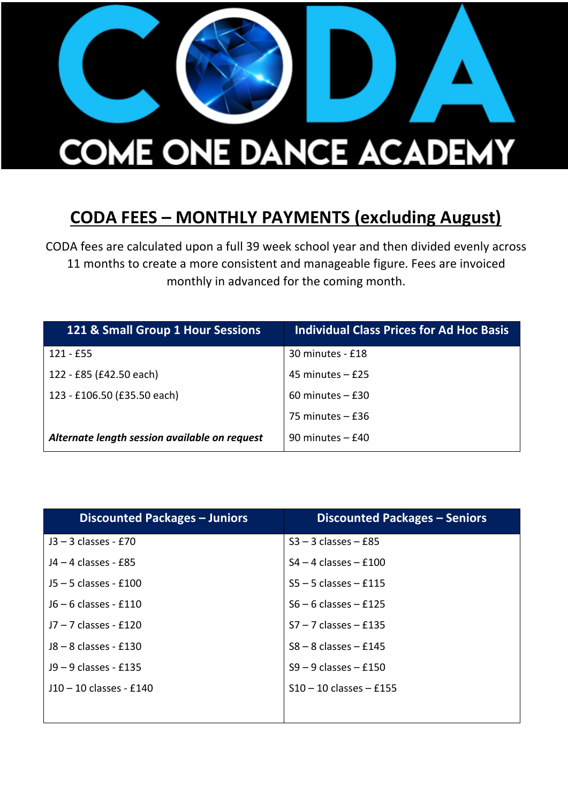

## **CODA FEES – MONTHLY PAYMENTS (excluding August)**

CODA fees are calculated upon a full 39 week school year and then divided evenly across 11 months to create a more consistent and manageable figure. Fees are invoiced monthly in advanced for the coming month.

| 121 & Small Group 1 Hour Sessions             | <b>Individual Class Prices for Ad Hoc Basis</b> |
|-----------------------------------------------|-------------------------------------------------|
| $121 - E55$                                   | 30 minutes - £18                                |
| 122 - £85 (£42.50 each)                       | 45 minutes $-$ £25                              |
| 123 - £106.50 (£35.50 each)                   | $60$ minutes $-$ £30                            |
|                                               | 75 minutes $-$ £36                              |
| Alternate length session available on request | $90$ minutes $-$ £40                            |

| <b>Discounted Packages - Juniors</b> | <b>Discounted Packages - Seniors</b> |
|--------------------------------------|--------------------------------------|
| $J3 - 3$ classes - £70               | $S3 - 3$ classes $-$ £85             |
| J4 – 4 classes - £85                 | $S4 - 4$ classes $- f100$            |
| $15 - 5$ classes - £100              | $S5 - 5$ classes $- f115$            |
| $J6 - 6$ classes - £110              | $S6 - 6$ classes $- f125$            |
| $17 - 7$ classes - £120              | $S7 - 7$ classes $-$ £135            |
| $18 - 8$ classes - £130              | $S8 - 8$ classes $-$ £145            |
| J9 – 9 classes - £135                | $S9 - 9$ classes $-$ £150            |
| J10-10 classes - £140                | $S10 - 10$ classes $-$ £155          |
|                                      |                                      |